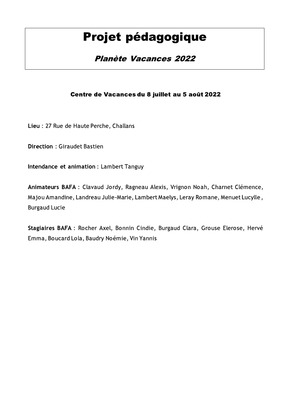# Projet pédagogique

## **Planète Vacances 2022**

### Centre de Vacances du 8 juillet au 5 août 2022

Lieu : 27 Rue de Haute Perche, Challans

**Direction: Giraudet Bastien** 

Intendance et animation : Lambert Tanguy

Animateurs BAFA : Clavaud Jordy, Ragneau Alexis, Vrignon Noah, Charnet Clémence, Majou Amandine, Landreau Julie-Marie, Lambert Maelys, Leray Romane, Menuet Lucylle, **Burgaud Lucie** 

Stagiaires BAFA : Rocher Axel, Bonnin Cindie, Burgaud Clara, Grouse Elerose, Hervé Emma, Boucard Lola, Baudry Noémie, Vin Yannis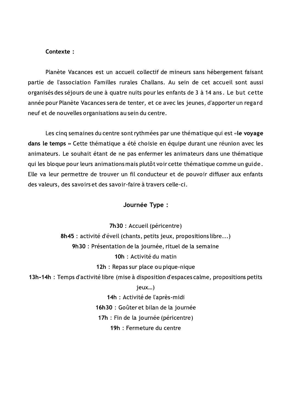#### Contexte:

Planète Vacances est un accueil collectif de mineurs sans hébergement faisant partie de l'association Familles rurales Challans. Au sein de cet accueil sont aussi organisés des séjours de une à quatre nuits pour les enfants de 3 à 14 ans. Le but cette année pour Planète Vacances sera de tenter, et ce avec les jeunes, d'apporter un regard neuf et de nouvelles organisations au sein du centre.

Les cinq semaines du centre sont rythmées par une thématique qui est «le voyage dans le temps » Cette thématique a été choisie en équipe durant une réunion avec les animateurs. Le souhait étant de ne pas enfermer les animateurs dans une thématique qui les bloque pour leurs animations mais plutôt voir cette thématique comme un guide. Elle va leur permettre de trouver un fil conducteur et de pouvoir diffuser aux enfants des valeurs, des savoirs et des savoir-faire à travers celle-ci.

#### Journée Type :

7h30 : Accueil (péricentre) 8h45 : activité d'éveil (chants, petits jeux, propositions libre...) 9h30 : Présentation de la journée, rituel de la semaine 10h : Activité du matin 12h : Repas sur place ou pique-nique 13h-14h : Temps d'activité libre (mise à disposition d'espaces calme, propositions petits jeux...) 14h : Activité de l'après-midi 16h30 : Goûter et bilan de la journée 17h : Fin de la journée (péricentre)

19h : Fermeture du centre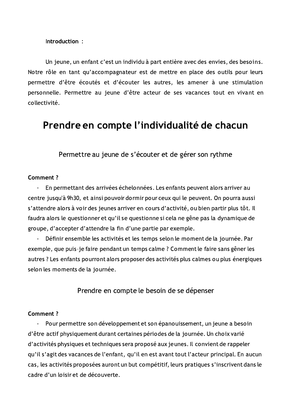#### Introduction:

Un jeune, un enfant c'est un individu à part entière avec des envies, des besoins. Notre rôle en tant qu'accompagnateur est de mettre en place des outils pour leurs permettre d'être écoutés et d'écouter les autres, les amener à une stimulation personnelle. Permettre au jeune d'être acteur de ses vacances tout en vivant en collectivité.

## Prendre en compte l'individualité de chacun

Permettre au jeune de s'écouter et de gérer son rythme

#### Comment ?

En permettant des arrivées échelonnées. Les enfants peuvent alors arriver au  $\overline{a}$ centre jusqu'à 9h30, et ainsi pouvoir dormir pour ceux qui le peuvent. On pourra aussi s'attendre alors à voir des jeunes arriver en cours d'activité, ou bien partir plus tôt. Il faudra alors le questionner et qu'il se questionne si cela ne gêne pas la dynamique de groupe, d'accepter d'attendre la fin d'une partie par exemple.

Définir ensemble les activités et les temps selon le moment de la journée. Par exemple, que puis-je faire pendant un temps calme ? Comment le faire sans gêner les autres ? Les enfants pourront alors proposer des activités plus calmes ou plus énergiques selon les moments de la journée.

Prendre en compte le besoin de se dépenser

#### Comment?

Pour permettre son développement et son épanouissement, un jeune a besoin d'être actif physiquement durant certaines périodes de la journée. Un choix varié d'activités physiques et techniques sera proposé aux jeunes. Il convient de rappeler qu'il s'agit des vacances de l'enfant, qu'il en est avant tout l'acteur principal. En aucun cas, les activités proposées auront un but compétitif, leurs pratiques s'inscrivent dans le cadre d'un loisir et de découverte.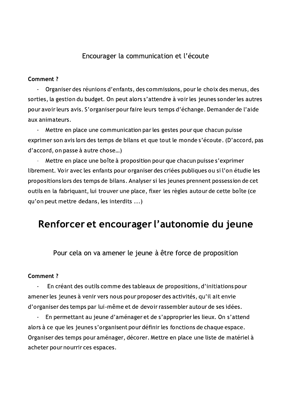### Encourager la communication et l'écoute

#### Comment ?

Organiser des réunions d'enfants, des commissions, pour le choix des menus, des  $\ddot{\phantom{a}}$ sorties, la gestion du budget. On peut alors s'attendre à voir les jeunes sonder les autres pour avoir leurs avis. S'organiser pour faire leurs temps d'échange. Demander de l'aide aux animateurs.

Mettre en place une communication par les gestes pour que chacun puisse exprimer son avis lors des temps de bilans et que tout le monde s'écoute. (D'accord, pas d'accord, on passe à autre chose...)

Mettre en place une boîte à proposition pour que chacun puisse s'exprimer librement. Voir avec les enfants pour organiser des criées publiques ou si l'on étudie les propositions lors des temps de bilans. Analyser si les jeunes prennent possession de cet outils en la fabriquant, lui trouver une place, fixer les règles autour de cette boîte (ce qu'on peut mettre dedans, les interdits ...)

## Renforcer et encourager l'autonomie du jeune

Pour cela on va amener le jeune à être force de proposition

#### **Comment?**

En créant des outils comme des tableaux de propositions, d'initiations pour amener les jeunes à venir vers nous pour proposer des activités, qu'il ait envie d'organiser des temps par lui-même et de devoir rassembler autour de ses idées.

En permettant au jeune d'aménager et de s'approprier les lieux. On s'attend alors à ce que les jeunes s'organisent pour définir les fonctions de chaque espace. Organiser des temps pour aménager, décorer. Mettre en place une liste de matériel à acheter pour nourrir ces espaces.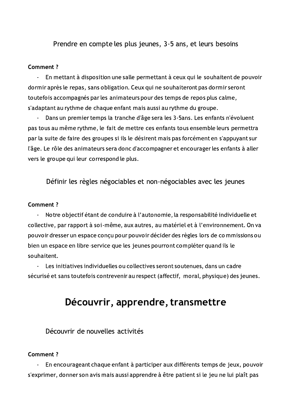Prendre en compte les plus jeunes, 3-5 ans, et leurs besoins

#### Comment ?

 $\omega_{\rm c}$ En mettant à disposition une salle permettant à ceux qui le souhaitent de pouvoir dormir après le repas, sans obligation. Ceux qui ne souhaiteront pas dormir seront toutefois accompagnés par les animateurs pour des temps de repos plus calme, s'adaptant au rythme de chaque enfant mais aussi au rythme du groupe.

Dans un premier temps la tranche d'âge sera les 3-5ans. Les enfants n'évoluent pas tous au même rythme, le fait de mettre ces enfants tous ensemble leurs permettra par la suite de faire des groupes si ils le désirent mais pas forcément en s'appuyant sur l'âge. Le rôle des animateurs sera donc d'accompagner et encourager les enfants à aller vers le groupe qui leur correspond le plus.

Définir les règles négociables et non-négociables avec les jeunes

#### Comment ?

Notre objectif étant de conduire à l'autonomie, la responsabilité individuelle et  $\mathbf{u}$  . collective, par rapport à soi-même, aux autres, au matériel et à l'environnement. On va pouvoir dresser un espace conçu pour pouvoir décider des règles lors de commissions ou bien un espace en libre-service que les jeunes pourront compléter quand ils le souhaitent.

Les initiatives individuelles ou collectives seront soutenues, dans un cadre  $\mathbf{r}$ sécurisé et sans toutefois contrevenir au respect (affectif, moral, physique) des jeunes.

## Découvrir, apprendre, transmettre

Découvrir de nouvelles activités

#### **Comment?**

En encourageant chaque enfant à participer aux différents temps de jeux, pouvoir  $\overline{\phantom{a}}$ s'exprimer, donner son avis mais aussi apprendre à être patient si le jeu ne lui plaît pas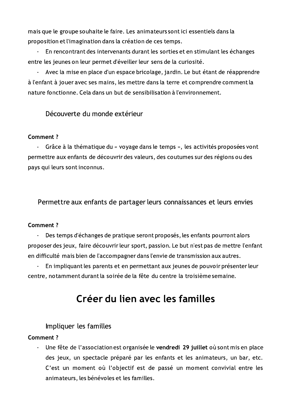mais que le groupe souhaite le faire. Les animateurs sont ici essentiels dans la proposition et l'imagination dans la création de ces temps.

En rencontrant des intervenants durant les sorties et en stimulant les échanges entre les jeunes on leur permet d'éveiller leur sens de la curiosité.

Avec la mise en place d'un espace bricolage, jardin. Le but étant de réapprendre  $\omega_{\rm{eff}}$ à l'enfant à jouer avec ses mains, les mettre dans la terre et comprendre comment la nature fonctionne. Cela dans un but de sensibilisation à l'environnement.

Découverte du monde extérieur

### Comment ?

Grâce à la thématique du « voyage dans le temps », les activités proposées vont permettre aux enfants de découvrir des valeurs, des coutumes sur des régions ou des pays qui leurs sont inconnus.

Permettre aux enfants de partager leurs connaissances et leurs envies

#### **Comment?**

Des temps d'échanges de pratique seront proposés, les enfants pourront alors proposer des jeux, faire découvrir leur sport, passion. Le but n'est pas de mettre l'enfant en difficulté mais bien de l'accompagner dans l'envie de transmission aux autres.

En impliquant les parents et en permettant aux jeunes de pouvoir présenter leur  $\omega_{\rm c}$ centre, notamment durant la soirée de la fête du centre la troisième semaine.

## Créer du lien avec les familles

### Impliquer les familles

### Comment ?

Une fête de l'association est organisée le vendredi 29 juillet où sont mis en place des jeux, un spectacle préparé par les enfants et les animateurs, un bar, etc. C'est un moment où l'objectif est de passé un moment convivial entre les animateurs, les bénévoles et les familles.